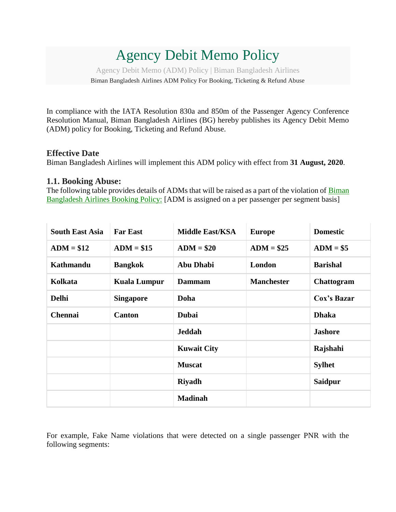# Agency Debit Memo Policy

Agency Debit Memo (ADM) Policy | Biman Bangladesh Airlines

Biman Bangladesh Airlines ADM Policy For Booking, Ticketing & Refund Abuse

In compliance with the IATA Resolution 830a and 850m of the Passenger Agency Conference Resolution Manual, Biman Bangladesh Airlines (BG) hereby publishes its Agency Debit Memo (ADM) policy for Booking, Ticketing and Refund Abuse.

#### **Effective Date**

Biman Bangladesh Airlines will implement this ADM policy with effect from **31 August, 2020**.

#### **1.1. Booking Abuse:**

The following table provides details of ADMs that will be raised as a part of the violation of [Biman](https://www.biman-airlines.com/termsConditions#Booking-Policy)  [Bangladesh Airlines Booking Policy:](https://www.biman-airlines.com/termsConditions#Booking-Policy) [ADM is assigned on a per passenger per segment basis]

| <b>South East Asia</b> | <b>Far East</b>     | <b>Middle East/KSA</b> | <b>Europe</b>     | <b>Domestic</b> |
|------------------------|---------------------|------------------------|-------------------|-----------------|
| $ADM = $12$            | $ADM = $15$         | $ADM = $20$            | $ADM = $25$       | $ADM = $5$      |
| <b>Kathmandu</b>       | <b>Bangkok</b>      | <b>Abu Dhabi</b>       | London            | <b>Barishal</b> |
| Kolkata                | <b>Kuala Lumpur</b> | <b>Dammam</b>          | <b>Manchester</b> | Chattogram      |
| <b>Delhi</b>           | <b>Singapore</b>    | Doha                   |                   | Cox's Bazar     |
| <b>Chennai</b>         | <b>Canton</b>       | <b>Dubai</b>           |                   | <b>Dhaka</b>    |
|                        |                     | <b>Jeddah</b>          |                   | <b>Jashore</b>  |
|                        |                     | <b>Kuwait City</b>     |                   | Rajshahi        |
|                        |                     | <b>Muscat</b>          |                   | <b>Sylhet</b>   |
|                        |                     | <b>Riyadh</b>          |                   | <b>Saidpur</b>  |
|                        |                     | <b>Madinah</b>         |                   |                 |

For example, Fake Name violations that were detected on a single passenger PNR with the following segments: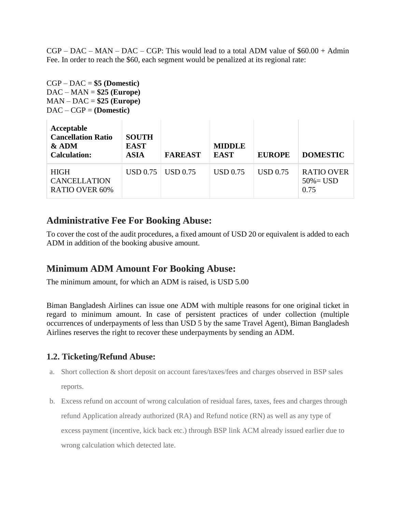$CGP - DAC - MAN - DAC - CGP$ : This would lead to a total ADM value of  $$60.00 + Admin$ Fee. In order to reach the \$60, each segment would be penalized at its regional rate:

CGP – DAC = **\$5 (Domestic)** DAC – MAN = **\$25 (Europe)** MAN – DAC = **\$25 (Europe)** DAC – CGP = **(Domestic)**

| Acceptable<br><b>Cancellation Ratio</b><br>$&$ ADM<br><b>Calculation:</b> | <b>SOUTH</b><br><b>EAST</b><br><b>ASIA</b> | <b>FAREAST</b>  | <b>MIDDLE</b><br><b>EAST</b> | <b>EUROPE</b> | <b>DOMESTIC</b>                           |
|---------------------------------------------------------------------------|--------------------------------------------|-----------------|------------------------------|---------------|-------------------------------------------|
| <b>HIGH</b><br><b>CANCELLATION</b><br><b>RATIO OVER 60%</b>               | USD 0.75                                   | <b>USD</b> 0.75 | <b>USD 0.75</b>              | USD 0.75      | <b>RATIO OVER</b><br>$50\% =$ USD<br>0.75 |

 $\sim$ 

## **Administrative Fee For Booking Abuse:**

To cover the cost of the audit procedures, a fixed amount of USD 20 or equivalent is added to each ADM in addition of the booking abusive amount.

## **Minimum ADM Amount For Booking Abuse:**

The minimum amount, for which an ADM is raised, is USD 5.00

 $\sim$  1.

Biman Bangladesh Airlines can issue one ADM with multiple reasons for one original ticket in regard to minimum amount. In case of persistent practices of under collection (multiple occurrences of underpayments of less than USD 5 by the same Travel Agent), Biman Bangladesh Airlines reserves the right to recover these underpayments by sending an ADM.

#### **1.2. Ticketing/Refund Abuse:**

- a. Short collection & short deposit on account fares/taxes/fees and charges observed in BSP sales reports.
- b. Excess refund on account of wrong calculation of residual fares, taxes, fees and charges through refund Application already authorized (RA) and Refund notice (RN) as well as any type of excess payment (incentive, kick back etc.) through BSP link ACM already issued earlier due to wrong calculation which detected late.